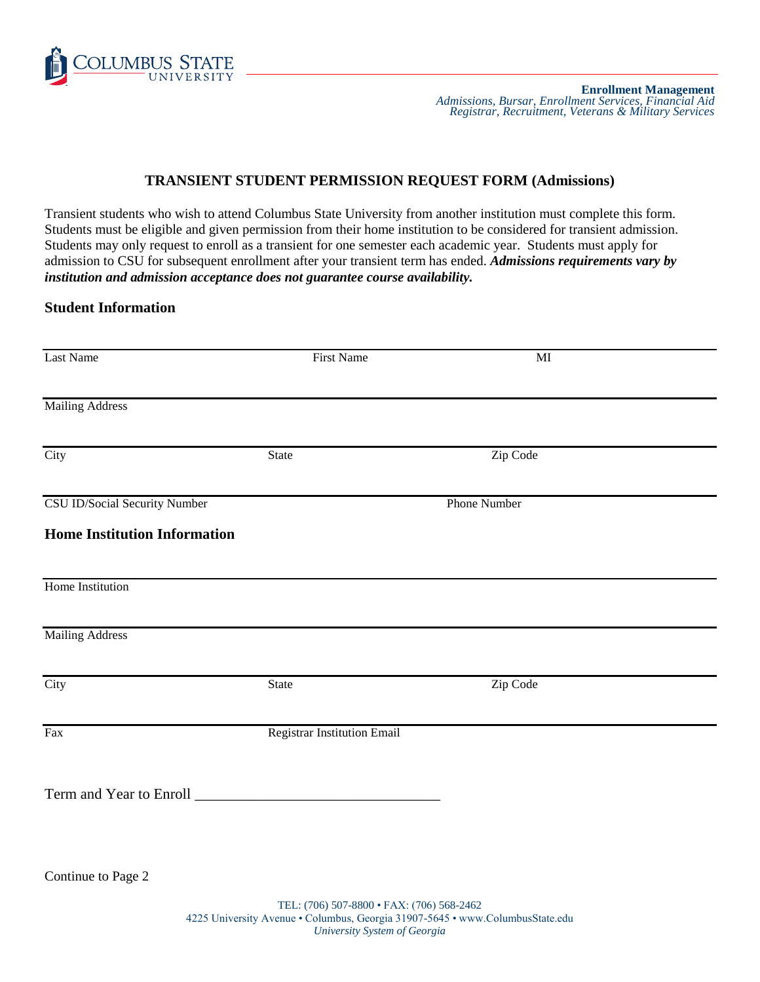

# **TRANSIENT STUDENT PERMISSION REQUEST FORM (Admissions)**

Transient students who wish to attend Columbus State University from another institution must complete this form. Students must be eligible and given permission from their home institution to be considered for transient admission. Students may only request to enroll as a transient for one semester each academic year. Students must apply for admission to CSU for subsequent enrollment after your transient term has ended. *Admissions requirements vary by institution and admission acceptance does not guarantee course availability.*

### **Student Information**

| Last Name                                                            | <b>First Name</b>           | $\mathbf{M}\mathbf{I}$ |
|----------------------------------------------------------------------|-----------------------------|------------------------|
| <b>Mailing Address</b>                                               |                             |                        |
| City                                                                 | <b>State</b>                | Zip Code               |
| CSU ID/Social Security Number<br><b>Home Institution Information</b> |                             | <b>Phone Number</b>    |
| Home Institution                                                     |                             |                        |
| <b>Mailing Address</b>                                               |                             |                        |
| City                                                                 | <b>State</b>                | Zip Code               |
| Fax                                                                  | Registrar Institution Email |                        |
|                                                                      |                             |                        |
| Continue to Page 2                                                   |                             |                        |